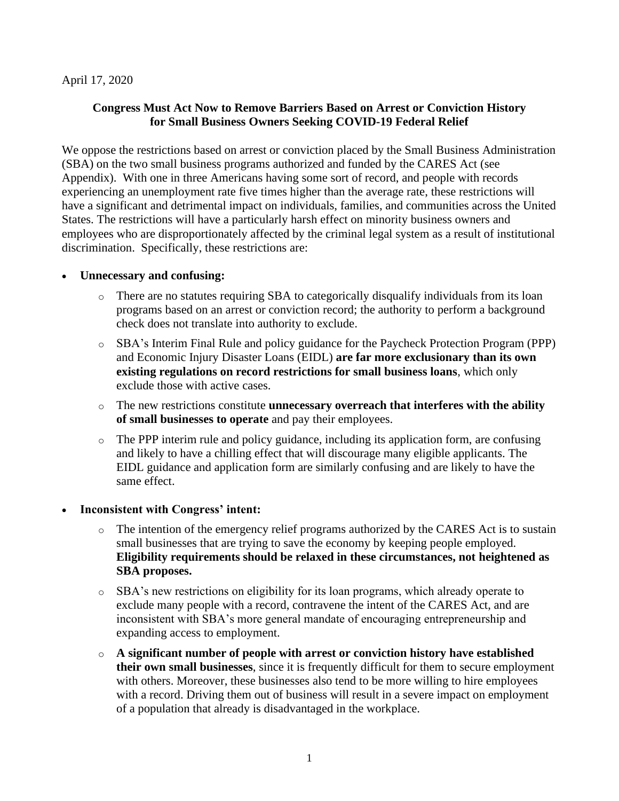### April 17, 2020

### **Congress Must Act Now to Remove Barriers Based on Arrest or Conviction History for Small Business Owners Seeking COVID-19 Federal Relief**

We oppose the restrictions based on arrest or conviction placed by the Small Business Administration (SBA) on the two small business programs authorized and funded by the CARES Act (see Appendix). With one in three Americans having some sort of record, and people with records experiencing an unemployment rate five times higher than the average rate, these restrictions will have a significant and detrimental impact on individuals, families, and communities across the United States. The restrictions will have a particularly harsh effect on minority business owners and employees who are disproportionately affected by the criminal legal system as a result of institutional discrimination. Specifically, these restrictions are:

### • **Unnecessary and confusing:**

- There are no statutes requiring SBA to categorically disqualify individuals from its loan programs based on an arrest or conviction record; the authority to perform a background check does not translate into authority to exclude.
- o SBA's Interim Final Rule and policy guidance for the Paycheck Protection Program (PPP) and Economic Injury Disaster Loans (EIDL) **are far more exclusionary than its own existing regulations on record restrictions for small business loans**, which only exclude those with active cases.
- o The new restrictions constitute **unnecessary overreach that interferes with the ability of small businesses to operate** and pay their employees.
- o The PPP interim rule and policy guidance, including its application form, are confusing and likely to have a chilling effect that will discourage many eligible applicants. The EIDL guidance and application form are similarly confusing and are likely to have the same effect.

#### • **Inconsistent with Congress' intent:**

- $\circ$  The intention of the emergency relief programs authorized by the CARES Act is to sustain small businesses that are trying to save the economy by keeping people employed. **Eligibility requirements should be relaxed in these circumstances, not heightened as SBA proposes.**
- o SBA's new restrictions on eligibility for its loan programs, which already operate to exclude many people with a record, contravene the intent of the CARES Act, and are inconsistent with SBA's more general mandate of encouraging entrepreneurship and expanding access to employment.
- o **A significant number of people with arrest or conviction history have established their own small businesses**, since it is frequently difficult for them to secure employment with others. Moreover, these businesses also tend to be more willing to hire employees with a record. Driving them out of business will result in a severe impact on employment of a population that already is disadvantaged in the workplace.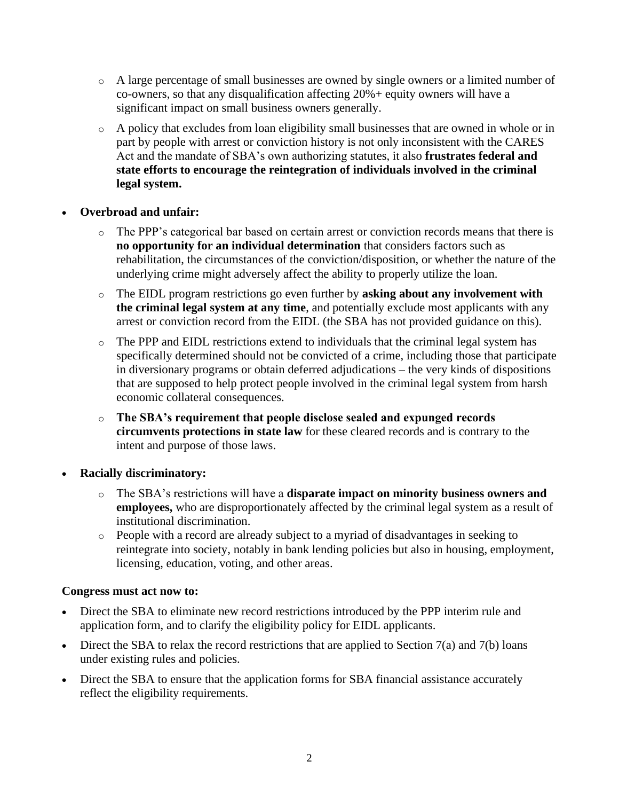- o A large percentage of small businesses are owned by single owners or a limited number of co-owners, so that any disqualification affecting 20%+ equity owners will have a significant impact on small business owners generally.
- o A policy that excludes from loan eligibility small businesses that are owned in whole or in part by people with arrest or conviction history is not only inconsistent with the CARES Act and the mandate of SBA's own authorizing statutes, it also **frustrates federal and state efforts to encourage the reintegration of individuals involved in the criminal legal system.**
- **Overbroad and unfair:**
	- The PPP's categorical bar based on certain arrest or conviction records means that there is **no opportunity for an individual determination** that considers factors such as rehabilitation, the circumstances of the conviction/disposition, or whether the nature of the underlying crime might adversely affect the ability to properly utilize the loan.
	- o The EIDL program restrictions go even further by **asking about any involvement with the criminal legal system at any time**, and potentially exclude most applicants with any arrest or conviction record from the EIDL (the SBA has not provided guidance on this).
	- o The PPP and EIDL restrictions extend to individuals that the criminal legal system has specifically determined should not be convicted of a crime, including those that participate in diversionary programs or obtain deferred adjudications – the very kinds of dispositions that are supposed to help protect people involved in the criminal legal system from harsh economic collateral consequences.
	- o **The SBA's requirement that people disclose sealed and expunged records circumvents protections in state law** for these cleared records and is contrary to the intent and purpose of those laws.
- **Racially discriminatory:**
	- o The SBA's restrictions will have a **disparate impact on minority business owners and employees,** who are disproportionately affected by the criminal legal system as a result of institutional discrimination.
	- o People with a record are already subject to a myriad of disadvantages in seeking to reintegrate into society, notably in bank lending policies but also in housing, employment, licensing, education, voting, and other areas.

# **Congress must act now to:**

- Direct the SBA to eliminate new record restrictions introduced by the PPP interim rule and application form, and to clarify the eligibility policy for EIDL applicants.
- Direct the SBA to relax the record restrictions that are applied to Section  $7(a)$  and  $7(b)$  loans under existing rules and policies.
- Direct the SBA to ensure that the application forms for SBA financial assistance accurately reflect the eligibility requirements.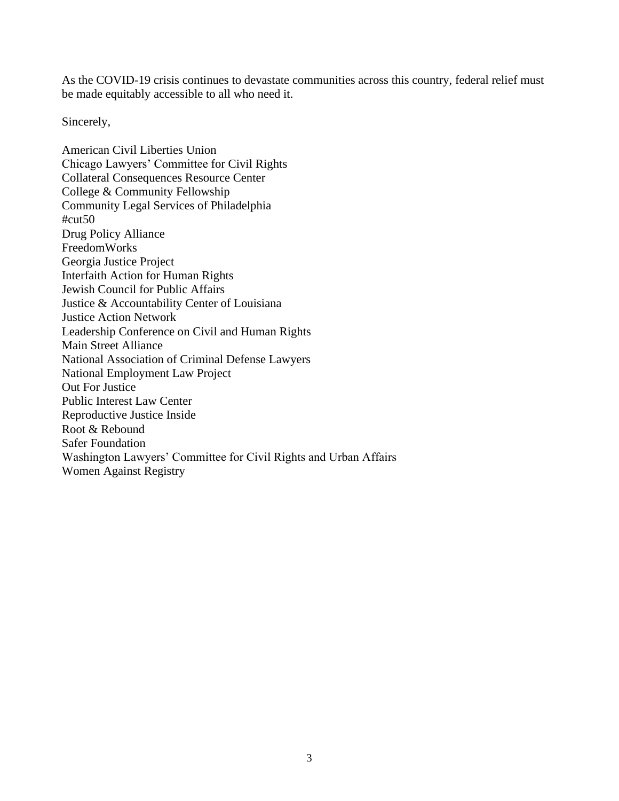As the COVID-19 crisis continues to devastate communities across this country, federal relief must be made equitably accessible to all who need it.

Sincerely,

American Civil Liberties Union Chicago Lawyers' Committee for Civil Rights Collateral Consequences Resource Center College & Community Fellowship Community Legal Services of Philadelphia #cut50 Drug Policy Alliance FreedomWorks Georgia Justice Project Interfaith Action for Human Rights Jewish Council for Public Affairs Justice & Accountability Center of Louisiana Justice Action Network Leadership Conference on Civil and Human Rights Main Street Alliance National Association of Criminal Defense Lawyers National Employment Law Project Out For Justice Public Interest Law Center Reproductive Justice Inside Root & Rebound Safer Foundation Washington Lawyers' Committee for Civil Rights and Urban Affairs Women Against Registry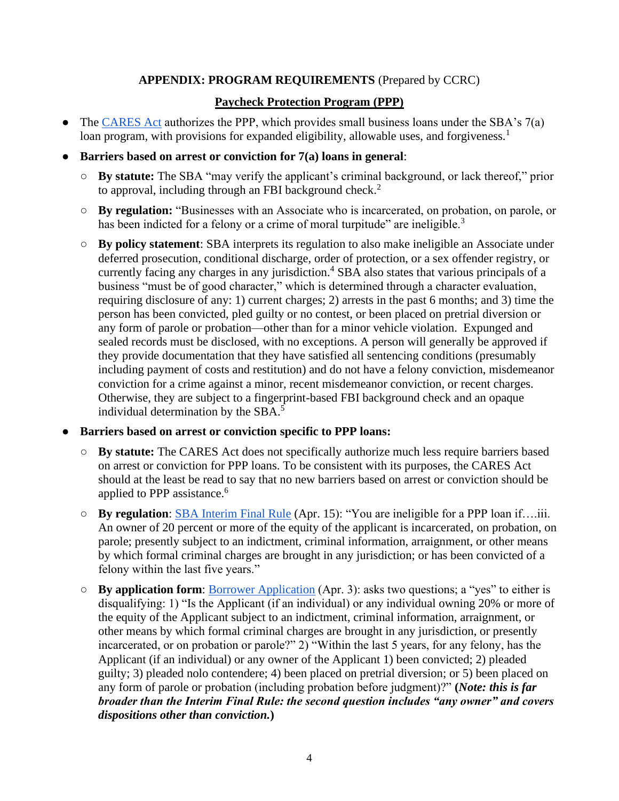# **APPENDIX: PROGRAM REQUIREMENTS** (Prepared by CCRC)

# **Paycheck Protection Program (PPP)**

- The [CARES Act](https://www.congress.gov/bill/116th-congress/senate-bill/3548/text#toc-id51F56132DC2E492895B4BA87DC307069) authorizes the PPP, which provides small business loans under the SBA's 7(a) loan program, with provisions for expanded eligibility, allowable uses, and forgiveness.<sup>1</sup>
- **Barriers based on arrest or conviction for 7(a) loans in general**:
	- **By statute:** The SBA "may verify the applicant's criminal background, or lack thereof," prior to approval, including through an FBI background check.<sup>2</sup>
	- **By regulation:** "Businesses with an Associate who is incarcerated, on probation, on parole, or has been indicted for a felony or a crime of moral turpitude" are ineligible.<sup>3</sup>
	- **By policy statement**: SBA interprets its regulation to also make ineligible an Associate under deferred prosecution, conditional discharge, order of protection, or a sex offender registry, or currently facing any charges in any jurisdiction.<sup>4</sup> SBA also states that various principals of a business "must be of good character," which is determined through a character evaluation, requiring disclosure of any: 1) current charges; 2) arrests in the past 6 months; and 3) time the person has been convicted, pled guilty or no contest, or been placed on pretrial diversion or any form of parole or probation—other than for a minor vehicle violation. Expunged and sealed records must be disclosed, with no exceptions. A person will generally be approved if they provide documentation that they have satisfied all sentencing conditions (presumably including payment of costs and restitution) and do not have a felony conviction, misdemeanor conviction for a crime against a minor, recent misdemeanor conviction, or recent charges. Otherwise, they are subject to a fingerprint-based FBI background check and an opaque individual determination by the SBA.<sup>5</sup>

#### ● **Barriers based on arrest or conviction specific to PPP loans:**

- **By statute:** The CARES Act does not specifically authorize much less require barriers based on arrest or conviction for PPP loans. To be consistent with its purposes, the CARES Act should at the least be read to say that no new barriers based on arrest or conviction should be applied to PPP assistance. 6
- **By regulation**: [SBA Interim Final Rule](https://www.sba.gov/sites/default/files/2020-04/PPP%20Interim%20Final%20Rule_0.pdf) (Apr. 15): "You are ineligible for a PPP loan if….iii. An owner of 20 percent or more of the equity of the applicant is incarcerated, on probation, on parole; presently subject to an indictment, criminal information, arraignment, or other means by which formal criminal charges are brought in any jurisdiction; or has been convicted of a felony within the last five years."
- **By application form**: [Borrower Application](https://www.sba.gov/document/sba-form--paycheck-protection-program-borrower-application-form) (Apr. 3): asks two questions; a "yes" to either is disqualifying: 1) "Is the Applicant (if an individual) or any individual owning 20% or more of the equity of the Applicant subject to an indictment, criminal information, arraignment, or other means by which formal criminal charges are brought in any jurisdiction, or presently incarcerated, or on probation or parole?" 2) "Within the last 5 years, for any felony, has the Applicant (if an individual) or any owner of the Applicant 1) been convicted; 2) pleaded guilty; 3) pleaded nolo contendere; 4) been placed on pretrial diversion; or 5) been placed on any form of parole or probation (including probation before judgment)?" **(***Note: this is far broader than the Interim Final Rule: the second question includes "any owner" and covers dispositions other than conviction.***)**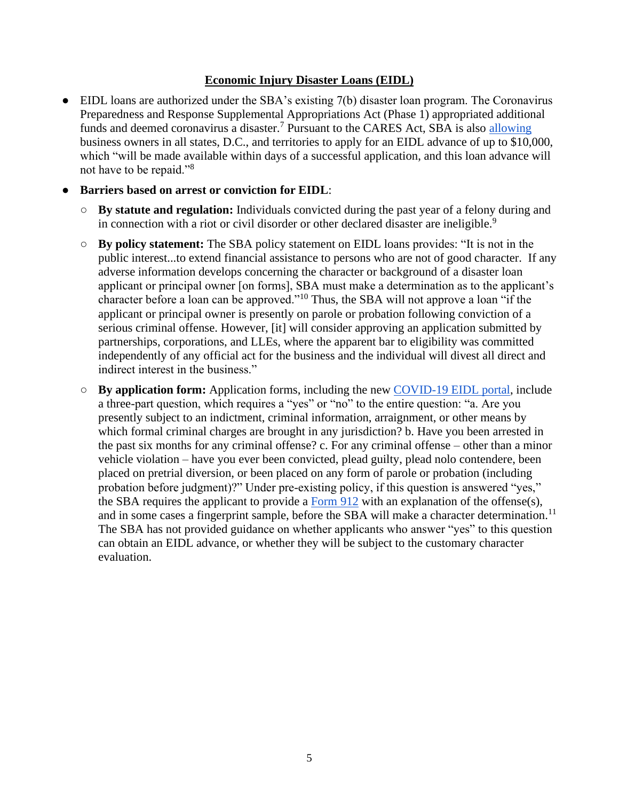# **Economic Injury Disaster Loans (EIDL)**

- EIDL loans are authorized under the SBA's existing 7(b) disaster loan program. The Coronavirus Preparedness and Response Supplemental Appropriations Act (Phase 1) appropriated additional funds and deemed coronavirus a disaster.<sup>7</sup> Pursuant to the CARES Act, SBA is also [allowing](https://www.sba.gov/funding-programs/loans/coronavirus-relief-options/economic-injury-disaster-loan-emergency-advance) business owners in all states, D.C., and territories to apply for an EIDL advance of up to \$10,000, which "will be made available within days of a successful application, and this loan advance will not have to be repaid."<sup>8</sup>
- **Barriers based on arrest or conviction for EIDL**:
	- **By statute and regulation:** Individuals convicted during the past year of a felony during and in connection with a riot or civil disorder or other declared disaster are ineligible.<sup>9</sup>
	- **By policy statement:** The SBA policy statement on EIDL loans provides: "It is not in the public interest...to extend financial assistance to persons who are not of good character. If any adverse information develops concerning the character or background of a disaster loan applicant or principal owner [on forms], SBA must make a determination as to the applicant's character before a loan can be approved."<sup>10</sup> Thus, the SBA will not approve a loan "if the applicant or principal owner is presently on parole or probation following conviction of a serious criminal offense. However, [it] will consider approving an application submitted by partnerships, corporations, and LLEs, where the apparent bar to eligibility was committed independently of any official act for the business and the individual will divest all direct and indirect interest in the business."
	- **By application form:** Application forms, including the new [COVID-19 EIDL portal,](https://covid19relief.sba.gov/) include a three-part question, which requires a "yes" or "no" to the entire question: "a. Are you presently subject to an indictment, criminal information, arraignment, or other means by which formal criminal charges are brought in any jurisdiction? b. Have you been arrested in the past six months for any criminal offense? c. For any criminal offense – other than a minor vehicle violation – have you ever been convicted, plead guilty, plead nolo contendere, been placed on pretrial diversion, or been placed on any form of parole or probation (including probation before judgment)?" Under pre-existing policy, if this question is answered "yes," the SBA requires the applicant to provide a [Form 912](https://www.sba.gov/document/sba-form-912-statement-personal-history) with an explanation of the offense(s), and in some cases a fingerprint sample, before the SBA will make a character determination.<sup>11</sup> The SBA has not provided guidance on whether applicants who answer "yes" to this question can obtain an EIDL advance, or whether they will be subject to the customary character evaluation.